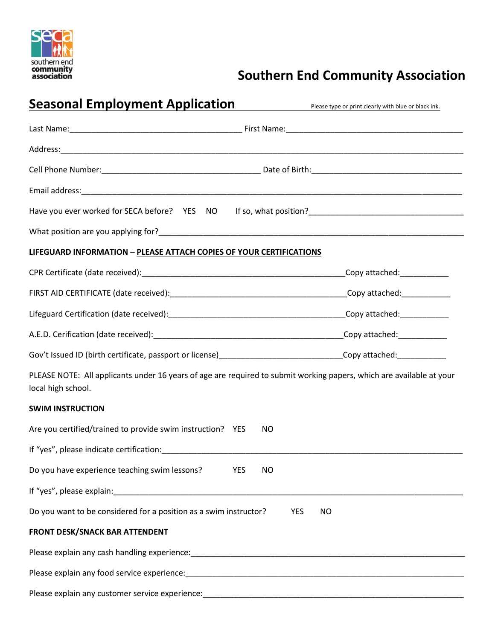

# **Southern end**<br> **Example 28 community**<br> **Southern End Community Association**

| <b>Seasonal Employment Application</b>                                                                                                                                                                                         | Please type or print clearly with blue or black ink. |
|--------------------------------------------------------------------------------------------------------------------------------------------------------------------------------------------------------------------------------|------------------------------------------------------|
|                                                                                                                                                                                                                                |                                                      |
|                                                                                                                                                                                                                                |                                                      |
|                                                                                                                                                                                                                                |                                                      |
|                                                                                                                                                                                                                                |                                                      |
|                                                                                                                                                                                                                                |                                                      |
|                                                                                                                                                                                                                                |                                                      |
| LIFEGUARD INFORMATION - PLEASE ATTACH COPIES OF YOUR CERTIFICATIONS                                                                                                                                                            |                                                      |
|                                                                                                                                                                                                                                |                                                      |
|                                                                                                                                                                                                                                |                                                      |
|                                                                                                                                                                                                                                |                                                      |
|                                                                                                                                                                                                                                |                                                      |
|                                                                                                                                                                                                                                |                                                      |
| PLEASE NOTE: All applicants under 16 years of age are required to submit working papers, which are available at your<br>local high school.                                                                                     |                                                      |
| <b>SWIM INSTRUCTION</b>                                                                                                                                                                                                        |                                                      |
| Are you certified/trained to provide swim instruction? YES<br>NO                                                                                                                                                               |                                                      |
| If "yes", please indicate certification: example of the state of the state of the state of the state of the state of the state of the state of the state of the state of the state of the state of the state of the state of t |                                                      |
| Do you have experience teaching swim lessons?<br>YES<br>NO                                                                                                                                                                     |                                                      |
| If "yes", please explain: Note and the same state of the state of the state of the state of the state of the state of the state of the state of the state of the state of the state of the state of the state of the state of  |                                                      |
| Do you want to be considered for a position as a swim instructor?                                                                                                                                                              | <b>YES</b><br>NO.                                    |
| <b>FRONT DESK/SNACK BAR ATTENDENT</b>                                                                                                                                                                                          |                                                      |
|                                                                                                                                                                                                                                |                                                      |
|                                                                                                                                                                                                                                |                                                      |
|                                                                                                                                                                                                                                |                                                      |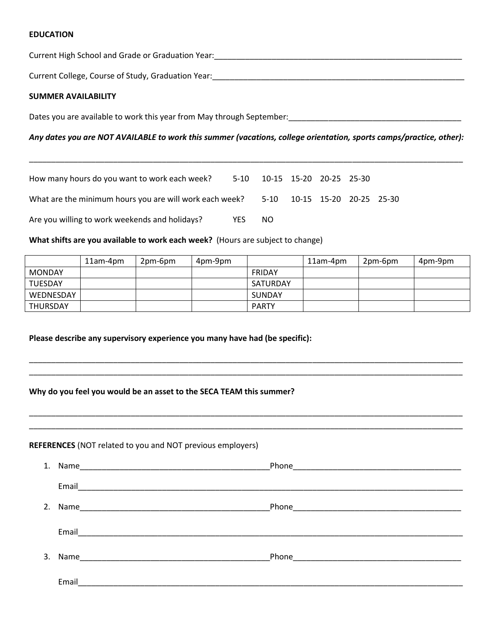## **EDUCATION**

Current High School and Grade or Graduation Year:\_\_\_\_\_\_\_\_\_\_\_\_\_\_\_\_\_\_\_\_\_\_\_\_\_\_\_\_\_\_\_\_\_\_\_\_\_\_\_\_\_\_\_\_\_\_\_\_\_\_\_\_\_\_\_\_

Current College, Course of Study, Graduation Year: \_\_\_\_\_\_\_\_\_\_\_\_\_\_\_\_\_\_\_\_\_\_\_\_\_\_\_\_\_

#### **SUMMER AVAILABILITY**

Dates you are available to work this year from May through September:\_\_\_\_\_\_\_\_\_\_\_\_\_\_\_\_\_\_\_\_\_\_\_\_\_\_\_\_\_\_\_\_\_\_\_\_\_\_\_

# *Any dates you are NOT AVAILABLE to work this summer (vacations, college orientation, sports camps/practice, other):*

\_\_\_\_\_\_\_\_\_\_\_\_\_\_\_\_\_\_\_\_\_\_\_\_\_\_\_\_\_\_\_\_\_\_\_\_\_\_\_\_\_\_\_\_\_\_\_\_\_\_\_\_\_\_\_\_\_\_\_\_\_\_\_\_\_\_\_\_\_\_\_\_\_\_\_\_\_\_\_\_\_\_\_\_\_\_\_\_\_\_\_\_\_\_\_\_\_\_

| How many hours do you want to work each week?           |      | 5-10 10-15 15-20 20-25 25-30 |  |  |
|---------------------------------------------------------|------|------------------------------|--|--|
| What are the minimum hours you are will work each week? |      | 5-10 10-15 15-20 20-25 25-30 |  |  |
| Are you willing to work weekends and holidays?          | YFS. | NO.                          |  |  |

**What shifts are you available to work each week?** (Hours are subject to change)

|                | 11am-4pm | 2pm-6pm | 4pm-9pm |              | 11am-4pm | 2pm-6pm | 4pm-9pm |
|----------------|----------|---------|---------|--------------|----------|---------|---------|
| <b>MONDAY</b>  |          |         |         | FRIDAY       |          |         |         |
| <b>TUESDAY</b> |          |         |         | SATURDAY     |          |         |         |
| WEDNESDAY      |          |         |         | SUNDAY       |          |         |         |
| THURSDAY       |          |         |         | <b>PARTY</b> |          |         |         |

\_\_\_\_\_\_\_\_\_\_\_\_\_\_\_\_\_\_\_\_\_\_\_\_\_\_\_\_\_\_\_\_\_\_\_\_\_\_\_\_\_\_\_\_\_\_\_\_\_\_\_\_\_\_\_\_\_\_\_\_\_\_\_\_\_\_\_\_\_\_\_\_\_\_\_\_\_\_\_\_\_\_\_\_\_\_\_\_\_\_\_\_\_\_\_\_\_\_ \_\_\_\_\_\_\_\_\_\_\_\_\_\_\_\_\_\_\_\_\_\_\_\_\_\_\_\_\_\_\_\_\_\_\_\_\_\_\_\_\_\_\_\_\_\_\_\_\_\_\_\_\_\_\_\_\_\_\_\_\_\_\_\_\_\_\_\_\_\_\_\_\_\_\_\_\_\_\_\_\_\_\_\_\_\_\_\_\_\_\_\_\_\_\_\_\_\_

\_\_\_\_\_\_\_\_\_\_\_\_\_\_\_\_\_\_\_\_\_\_\_\_\_\_\_\_\_\_\_\_\_\_\_\_\_\_\_\_\_\_\_\_\_\_\_\_\_\_\_\_\_\_\_\_\_\_\_\_\_\_\_\_\_\_\_\_\_\_\_\_\_\_\_\_\_\_\_\_\_\_\_\_\_\_\_\_\_\_\_\_\_\_\_\_\_\_ \_\_\_\_\_\_\_\_\_\_\_\_\_\_\_\_\_\_\_\_\_\_\_\_\_\_\_\_\_\_\_\_\_\_\_\_\_\_\_\_\_\_\_\_\_\_\_\_\_\_\_\_\_\_\_\_\_\_\_\_\_\_\_\_\_\_\_\_\_\_\_\_\_\_\_\_\_\_\_\_\_\_\_\_\_\_\_\_\_\_\_\_\_\_\_\_\_\_

**Please describe any supervisory experience you many have had (be specific):**

# **Why do you feel you would be an asset to the SECA TEAM this summer?**

### **REFERENCES** (NOT related to you and NOT previous employers)

| 1. | Name                                                                                                                          | Phone |
|----|-------------------------------------------------------------------------------------------------------------------------------|-------|
|    | Email<br><u> 2000 - 2000 - 2000 - 2000 - 2000 - 2000 - 2000 - 2000 - 2000 - 2000 - 2000 - 2000 - 2000 - 2000 - 2000 - 200</u> |       |
| 2. | Name                                                                                                                          | Phone |
|    |                                                                                                                               |       |
| 3. |                                                                                                                               |       |
|    | Email                                                                                                                         |       |